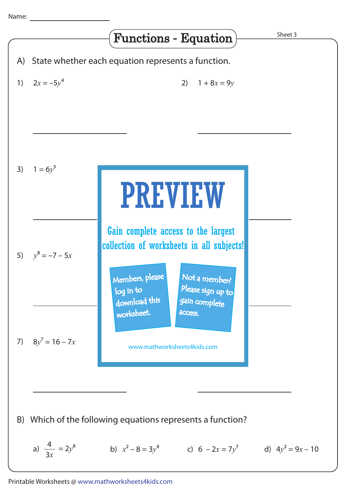